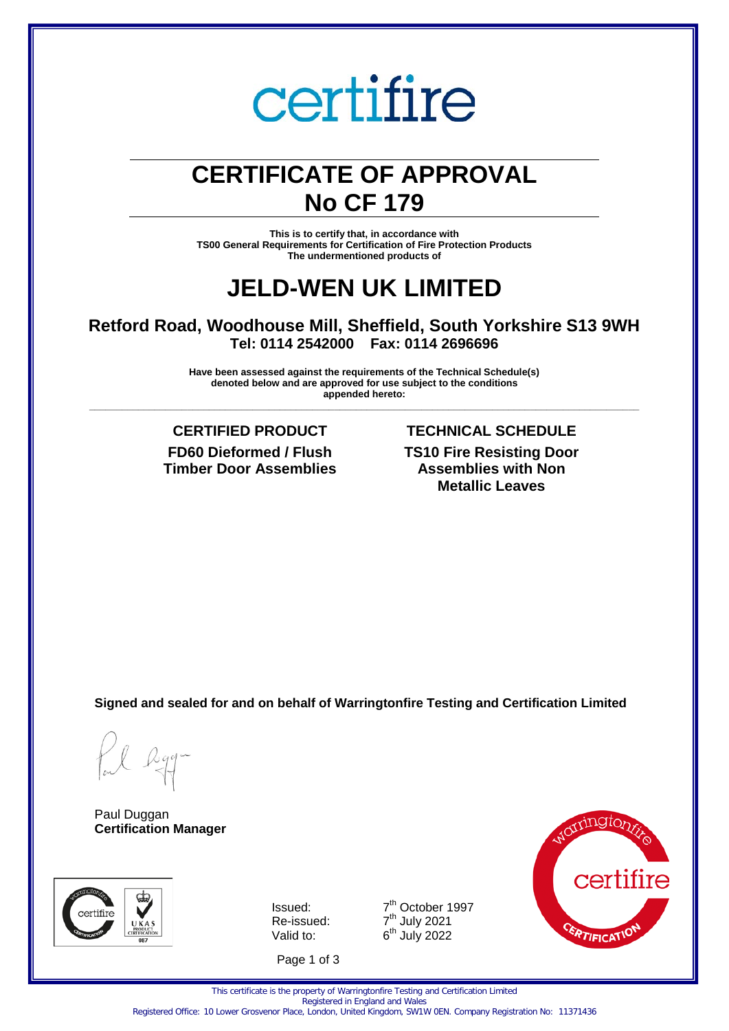# certifire

# **CERTIFICATE OF APPROVAL No CF 179**

**This is to certify that, in accordance with TS00 General Requirements for Certification of Fire Protection Products The undermentioned products of** 

# **JELD-WEN UK LIMITED**

## **Retford Road, Woodhouse Mill, Sheffield, South Yorkshire S13 9WH Tel: 0114 2542000 Fax: 0114 2696696**

**Have been assessed against the requirements of the Technical Schedule(s) denoted below and are approved for use subject to the conditions appended hereto: \_\_\_\_\_\_\_\_\_\_\_\_\_\_\_\_\_\_\_\_\_\_\_\_\_\_\_\_\_\_\_\_\_\_\_\_\_\_\_\_\_\_\_\_\_\_\_\_\_\_\_\_\_\_\_\_\_\_\_\_\_\_\_\_\_\_\_\_\_\_\_\_\_\_\_\_\_\_\_\_\_\_\_\_\_\_\_\_\_\_\_\_\_\_\_\_\_\_\_\_\_**

> **FD60 Dieformed / Flush Timber Door Assemblies**

## **CERTIFIED PRODUCT TECHNICAL SCHEDULE TS10 Fire Resisting Door Assemblies with Non Metallic Leaves**

**Signed and sealed for and on behalf of Warringtonfire Testing and Certification Limited**

Paul Duggan **Certification Manager**



Issued: 7 Re-issued: Valid to:

Page 1 of 3



This certificate is the property of Warringtonfire Testing and Certification Limited Registered in England and Wales

7<sup>th</sup> October 1997

<sup>th</sup> July 2021

th July 2022

Registered Office: 10 Lower Grosvenor Place, London, United Kingdom, SW1W 0EN. Company Registration No: 11371436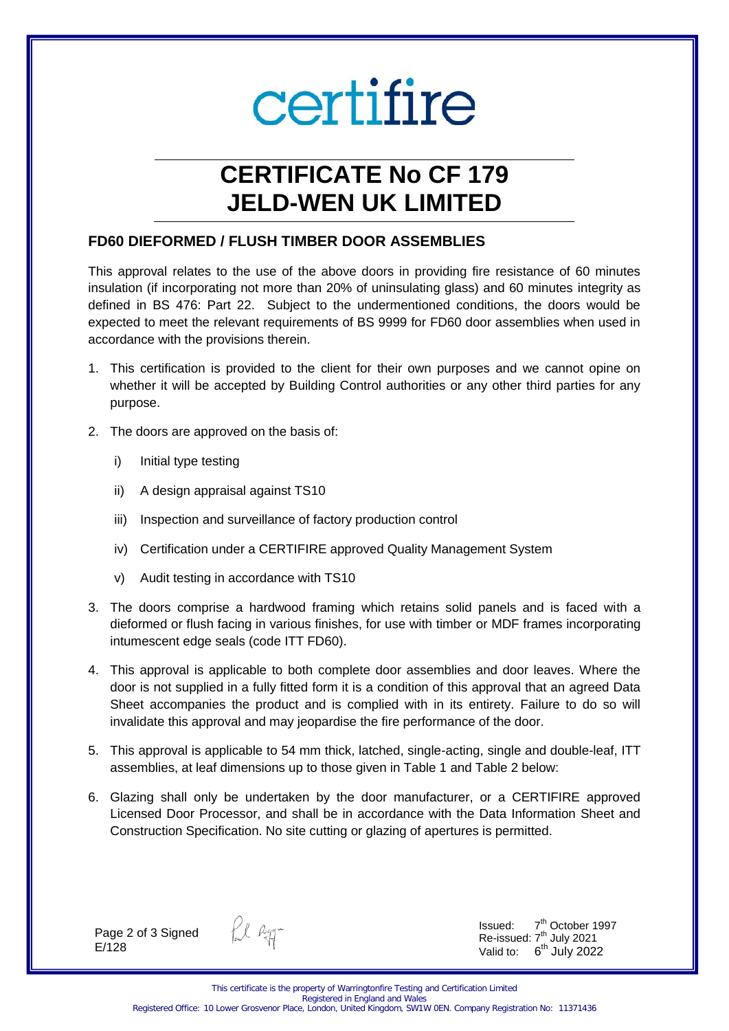# certifire

# **CERTIFICATE No CF 179 JELD-WEN UK LIMITED**

### **FD60 DIEFORMED / FLUSH TIMBER DOOR ASSEMBLIES**

This approval relates to the use of the above doors in providing fire resistance of 60 minutes insulation (if incorporating not more than 20% of uninsulating glass) and 60 minutes integrity as defined in BS 476: Part 22. Subject to the undermentioned conditions, the doors would be expected to meet the relevant requirements of BS 9999 for FD60 door assemblies when used in accordance with the provisions therein.

- 1. This certification is provided to the client for their own purposes and we cannot opine on whether it will be accepted by Building Control authorities or any other third parties for any purpose.
- 2. The doors are approved on the basis of:
	- i) Initial type testing
	- ii) A design appraisal against TS10
	- iii) Inspection and surveillance of factory production control
	- iv) Certification under a CERTIFIRE approved Quality Management System
	- v) Audit testing in accordance with TS10
- 3. The doors comprise a hardwood framing which retains solid panels and is faced with a dieformed or flush facing in various finishes, for use with timber or MDF frames incorporating intumescent edge seals (code ITT FD60).
- 4. This approval is applicable to both complete door assemblies and door leaves. Where the door is not supplied in a fully fitted form it is a condition of this approval that an agreed Data Sheet accompanies the product and is complied with in its entirety. Failure to do so will invalidate this approval and may jeopardise the fire performance of the door.
- 5. This approval is applicable to 54 mm thick, latched, single-acting, single and double-leaf, ITT assemblies, at leaf dimensions up to those given in Table 1 and Table 2 below:
- 6. Glazing shall only be undertaken by the door manufacturer, or a CERTIFIRE approved Licensed Door Processor, and shall be in accordance with the Data Information Sheet and Construction Specification. No site cutting or glazing of apertures is permitted.

Page 2 of 3 Signed E/128

fil egg-

Issued: 7 7<sup>th</sup> October 1997 Re-issued:  $7<sup>th</sup>$  July 2021 Valid to:  $6<sup>th</sup>$  July 2022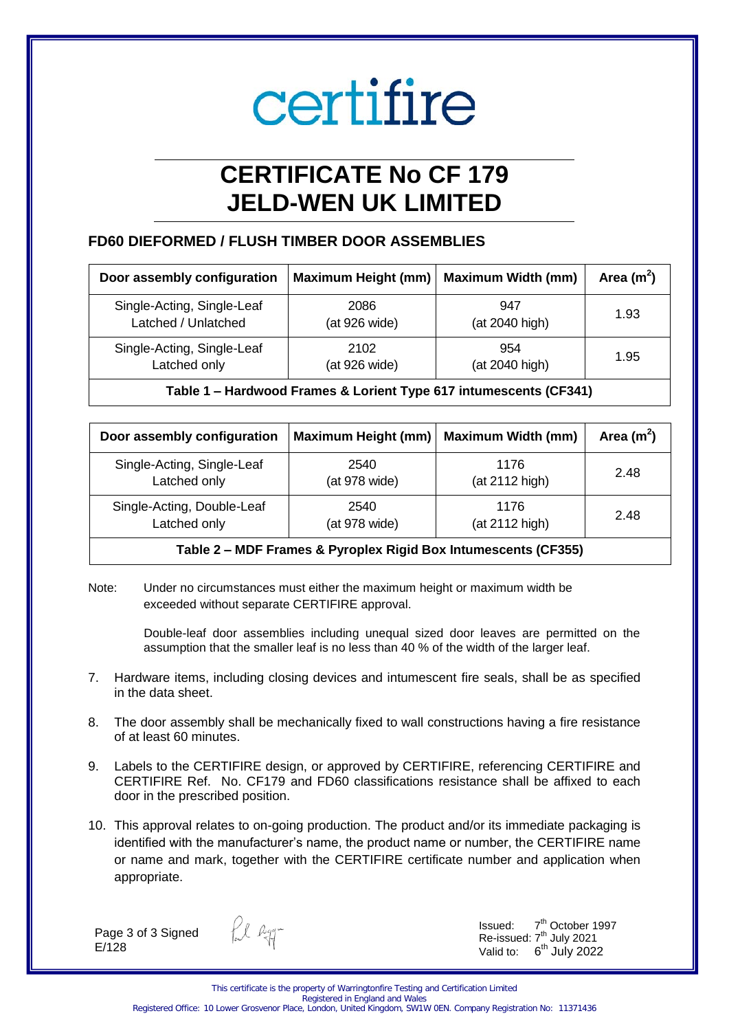# certifire

# **CERTIFICATE No CF 179 JELD-WEN UK LIMITED**

## **FD60 DIEFORMED / FLUSH TIMBER DOOR ASSEMBLIES**

| Door assembly configuration | Maximum Height (mm)   Maximum Width (mm) |                | Area $(m^2)$ |
|-----------------------------|------------------------------------------|----------------|--------------|
| Single-Acting, Single-Leaf  | 2086                                     | 947            | 1.93         |
| Latched / Unlatched         | (at 926 wide)                            | (at 2040 high) |              |
| Single-Acting, Single-Leaf  | 2102                                     | 954            | 1.95         |
| Latched only                | (at 926 wide)                            | (at 2040 high) |              |

**Table 1 – Hardwood Frames & Lorient Type 617 intumescents (CF341)**

| Door assembly configuration | <b>Maximum Height (mm)</b> | <b>Maximum Width (mm)</b> | Area $(m^2)$ |
|-----------------------------|----------------------------|---------------------------|--------------|
| Single-Acting, Single-Leaf  | 2540                       | 1176                      | 2.48         |
| Latched only                | (at 978 wide)              | (at 2112 high)            |              |
| Single-Acting, Double-Leaf  | 2540                       | 1176                      | 2.48         |
| Latched only                | (at 978 wide)              | (at 2112 high)            |              |

**Table 2 – MDF Frames & Pyroplex Rigid Box Intumescents (CF355)**

Note: Under no circumstances must either the maximum height or maximum width be exceeded without separate CERTIFIRE approval.

> Double-leaf door assemblies including unequal sized door leaves are permitted on the assumption that the smaller leaf is no less than 40 % of the width of the larger leaf.

- 7. Hardware items, including closing devices and intumescent fire seals, shall be as specified in the data sheet.
- 8. The door assembly shall be mechanically fixed to wall constructions having a fire resistance of at least 60 minutes.
- 9. Labels to the CERTIFIRE design, or approved by CERTIFIRE, referencing CERTIFIRE and CERTIFIRE Ref. No. CF179 and FD60 classifications resistance shall be affixed to each door in the prescribed position.
- 10. This approval relates to on-going production. The product and/or its immediate packaging is identified with the manufacturer's name, the product name or number, the CERTIFIRE name or name and mark, together with the CERTIFIRE certificate number and application when appropriate.

Page 3 of 3 Signed E/128

fil egg-

Issued: 7 7<sup>th</sup> October 1997 Re-issued:  $7<sup>th</sup>$  July 2021 Valid to:  $6<sup>th</sup>$  July 2022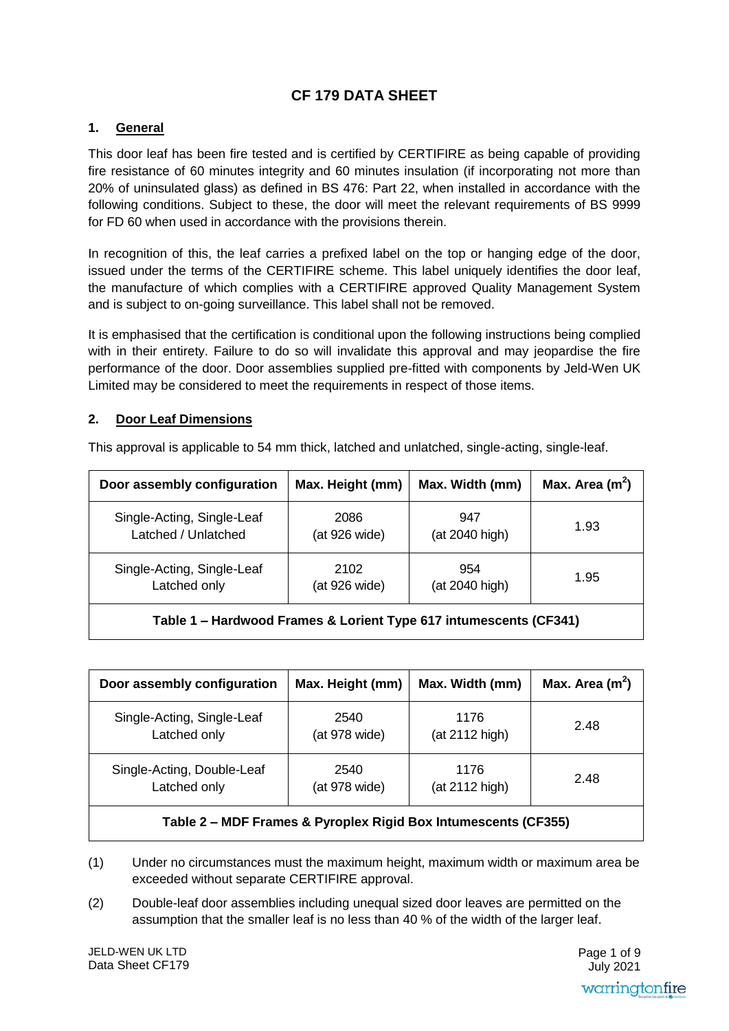# **CF 179 DATA SHEET**

### **1. General**

This door leaf has been fire tested and is certified by CERTIFIRE as being capable of providing fire resistance of 60 minutes integrity and 60 minutes insulation (if incorporating not more than 20% of uninsulated glass) as defined in BS 476: Part 22, when installed in accordance with the following conditions. Subject to these, the door will meet the relevant requirements of BS 9999 for FD 60 when used in accordance with the provisions therein.

In recognition of this, the leaf carries a prefixed label on the top or hanging edge of the door, issued under the terms of the CERTIFIRE scheme. This label uniquely identifies the door leaf, the manufacture of which complies with a CERTIFIRE approved Quality Management System and is subject to on-going surveillance. This label shall not be removed.

It is emphasised that the certification is conditional upon the following instructions being complied with in their entirety. Failure to do so will invalidate this approval and may jeopardise the fire performance of the door. Door assemblies supplied pre-fitted with components by Jeld-Wen UK Limited may be considered to meet the requirements in respect of those items.

#### **2. Door Leaf Dimensions**

| Door assembly configuration                                            | Max. Height (mm) | Max. Width (mm) | Max. Area $(m2)$ |
|------------------------------------------------------------------------|------------------|-----------------|------------------|
| Single-Acting, Single-Leaf                                             | 2086             | 947             | 1.93             |
| Latched / Unlatched                                                    | (at 926 wide)    | (at 2040 high)  |                  |
| Single-Acting, Single-Leaf                                             | 2102             | 954             | 1.95             |
| Latched only                                                           | (at 926 wide)    | (at 2040 high)  |                  |
| Table 4 Llandura ad Frames 9 Lariant Tune 647 intumentemperate (CF344) |                  |                 |                  |

This approval is applicable to 54 mm thick, latched and unlatched, single-acting, single-leaf.

**Table 1 – Hardwood Frames & Lorient Type 617 intumescents (CF341)**

| Door assembly configuration                                                      | Max. Height (mm) | Max. Width (mm) | Max. Area $(m^2)$ |
|----------------------------------------------------------------------------------|------------------|-----------------|-------------------|
| Single-Acting, Single-Leaf                                                       | 2540             | 1176            | 2.48              |
| Latched only                                                                     | (at 978 wide)    | (at 2112 high)  |                   |
| Single-Acting, Double-Leaf                                                       | 2540             | 1176            | 2.48              |
| Latched only                                                                     | (at 978 wide)    | (at 2112 high)  |                   |
| MDE Frances, $\theta$ , Drugular, Dirid Davibation assembly (CESEE)<br>$T - L L$ |                  |                 |                   |

### **Table 2 – MDF Frames & Pyroplex Rigid Box Intumescents (CF355)**

- (1) Under no circumstances must the maximum height, maximum width or maximum area be exceeded without separate CERTIFIRE approval.
- (2) Double-leaf door assemblies including unequal sized door leaves are permitted on the assumption that the smaller leaf is no less than 40 % of the width of the larger leaf.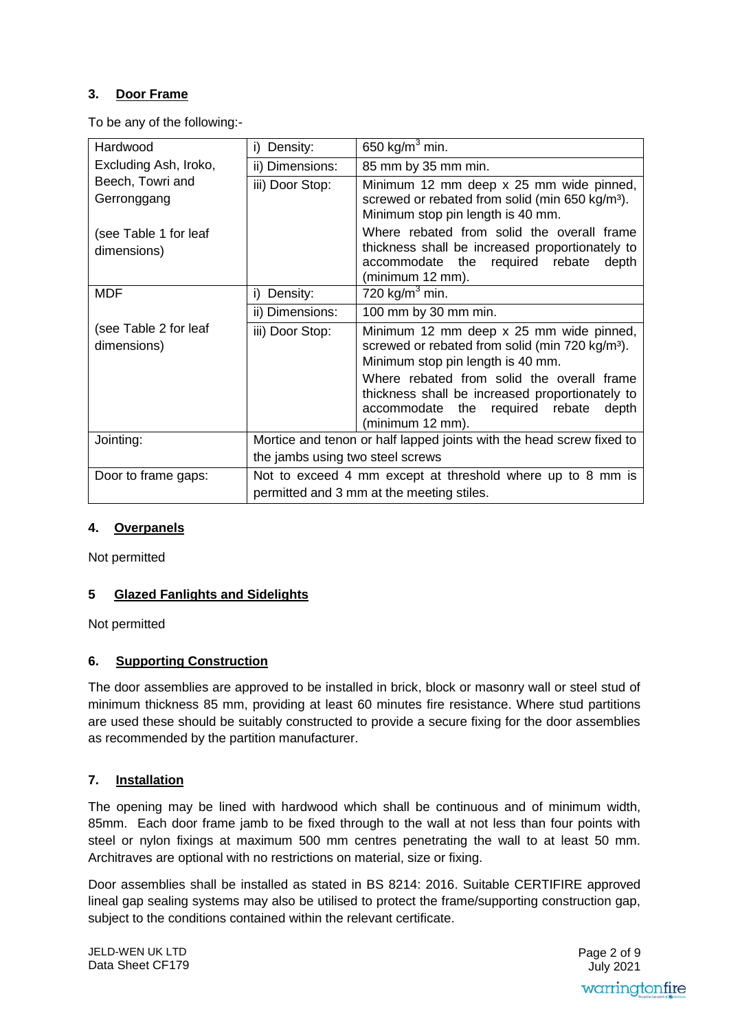## **3. Door Frame**

To be any of the following:-

| Hardwood                             | i) Density:                      | 650 kg/m $3$ min.                                                                                                                                                |  |
|--------------------------------------|----------------------------------|------------------------------------------------------------------------------------------------------------------------------------------------------------------|--|
| Excluding Ash, Iroko,                | ii) Dimensions:                  | 85 mm by 35 mm min.                                                                                                                                              |  |
| Beech, Towri and                     | iii) Door Stop:                  | Minimum 12 mm deep x 25 mm wide pinned,                                                                                                                          |  |
| Gerronggang                          |                                  | screwed or rebated from solid (min 650 kg/m <sup>3</sup> ).<br>Minimum stop pin length is 40 mm.                                                                 |  |
| (see Table 1 for leaf<br>dimensions) |                                  | Where rebated from solid the overall frame<br>thickness shall be increased proportionately to<br>accommodate the<br>required rebate<br>depth<br>(minimum 12 mm). |  |
| <b>MDF</b>                           | i) Density:                      | 720 kg/m <sup>3</sup> min.                                                                                                                                       |  |
|                                      | ii) Dimensions:                  | 100 mm by 30 mm min.                                                                                                                                             |  |
| (see Table 2 for leaf<br>dimensions) | iii) Door Stop:                  | Minimum 12 mm deep x 25 mm wide pinned,<br>screwed or rebated from solid (min 720 kg/m <sup>3</sup> ).<br>Minimum stop pin length is 40 mm.                      |  |
|                                      |                                  | Where rebated from solid the overall frame<br>thickness shall be increased proportionately to<br>accommodate the<br>required rebate<br>depth<br>(minimum 12 mm). |  |
| Jointing:                            |                                  | Mortice and tenon or half lapped joints with the head screw fixed to                                                                                             |  |
|                                      | the jambs using two steel screws |                                                                                                                                                                  |  |
| Door to frame gaps:                  |                                  | Not to exceed 4 mm except at threshold where up to 8 mm is                                                                                                       |  |
|                                      |                                  | permitted and 3 mm at the meeting stiles.                                                                                                                        |  |

#### **4. Overpanels**

Not permitted

#### **5 Glazed Fanlights and Sidelights**

Not permitted

#### **6. Supporting Construction**

The door assemblies are approved to be installed in brick, block or masonry wall or steel stud of minimum thickness 85 mm, providing at least 60 minutes fire resistance. Where stud partitions are used these should be suitably constructed to provide a secure fixing for the door assemblies as recommended by the partition manufacturer.

#### **7. Installation**

The opening may be lined with hardwood which shall be continuous and of minimum width, 85mm. Each door frame jamb to be fixed through to the wall at not less than four points with steel or nylon fixings at maximum 500 mm centres penetrating the wall to at least 50 mm. Architraves are optional with no restrictions on material, size or fixing.

Door assemblies shall be installed as stated in BS 8214: 2016. Suitable CERTIFIRE approved lineal gap sealing systems may also be utilised to protect the frame/supporting construction gap, subject to the conditions contained within the relevant certificate.

JELD-WEN UK LTD Data Sheet CF179 Page 2 of 9 July 2021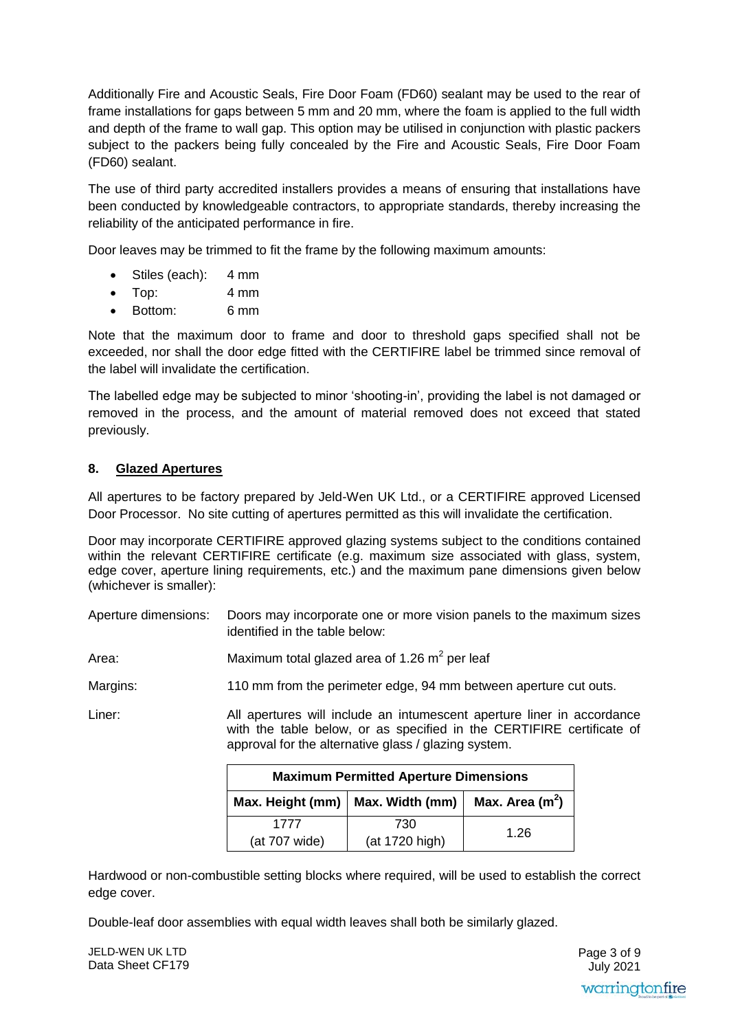Additionally Fire and Acoustic Seals, Fire Door Foam (FD60) sealant may be used to the rear of frame installations for gaps between 5 mm and 20 mm, where the foam is applied to the full width and depth of the frame to wall gap. This option may be utilised in conjunction with plastic packers subject to the packers being fully concealed by the Fire and Acoustic Seals, Fire Door Foam (FD60) sealant.

The use of third party accredited installers provides a means of ensuring that installations have been conducted by knowledgeable contractors, to appropriate standards, thereby increasing the reliability of the anticipated performance in fire.

Door leaves may be trimmed to fit the frame by the following maximum amounts:

- Stiles (each): 4 mm
- Top: 4 mm
- Bottom: 6 mm

Note that the maximum door to frame and door to threshold gaps specified shall not be exceeded, nor shall the door edge fitted with the CERTIFIRE label be trimmed since removal of the label will invalidate the certification.

The labelled edge may be subjected to minor 'shooting-in', providing the label is not damaged or removed in the process, and the amount of material removed does not exceed that stated previously.

#### **8. Glazed Apertures**

All apertures to be factory prepared by Jeld-Wen UK Ltd., or a CERTIFIRE approved Licensed Door Processor. No site cutting of apertures permitted as this will invalidate the certification.

Door may incorporate CERTIFIRE approved glazing systems subject to the conditions contained within the relevant CERTIFIRE certificate (e.g. maximum size associated with glass, system, edge cover, aperture lining requirements, etc.) and the maximum pane dimensions given below (whichever is smaller):

| Aperture dimensions: | Doors may incorporate one or more vision panels to the maximum sizes |
|----------------------|----------------------------------------------------------------------|
|                      | identified in the table below:                                       |

Area: Maximum total glazed area of 1.26  $m^2$  per leaf

Margins: 110 mm from the perimeter edge, 94 mm between aperture cut outs.

Liner: All apertures will include an intumescent aperture liner in accordance with the table below, or as specified in the CERTIFIRE certificate of approval for the alternative glass / glazing system.

| <b>Maximum Permitted Aperture Dimensions</b>           |                       |      |  |
|--------------------------------------------------------|-----------------------|------|--|
| Max. Area $(m2)$<br>Max. Height (mm)   Max. Width (mm) |                       |      |  |
| 1777<br>(at 707 wide)                                  | 730<br>(at 1720 high) | 1.26 |  |

Hardwood or non-combustible setting blocks where required, will be used to establish the correct edge cover.

Double-leaf door assemblies with equal width leaves shall both be similarly glazed.

JELD-WEN UK LTD Data Sheet CF179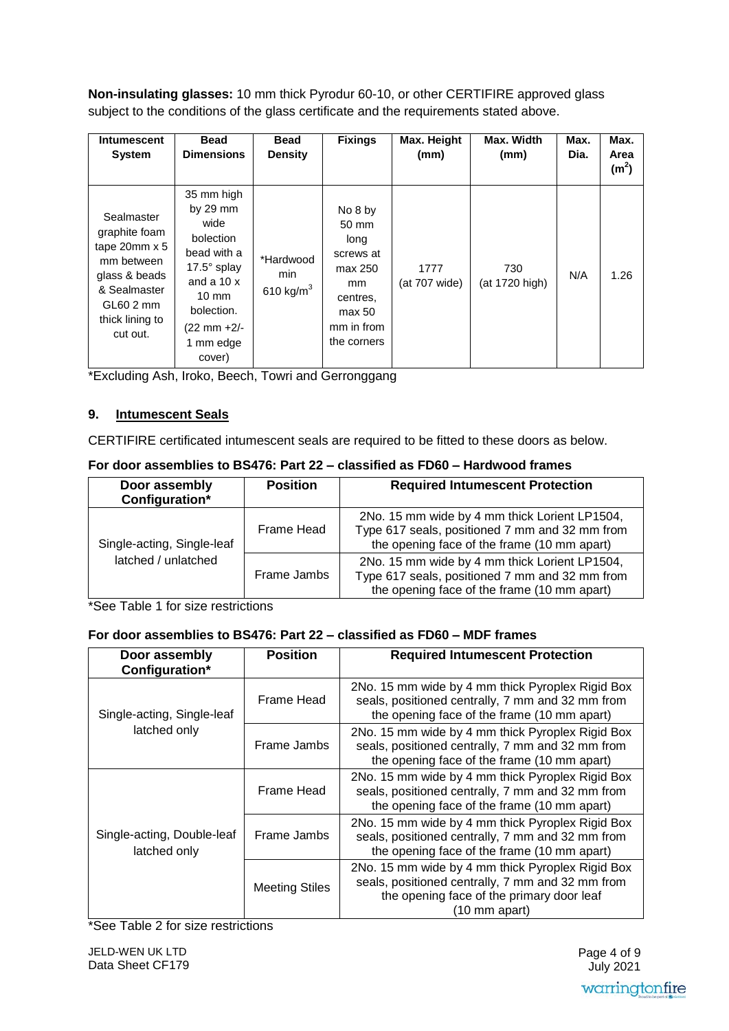**Non-insulating glasses:** 10 mm thick Pyrodur 60-10, or other CERTIFIRE approved glass subject to the conditions of the glass certificate and the requirements stated above.

| <b>Intumescent</b><br><b>System</b>                                                                                                               | <b>Bead</b><br><b>Dimensions</b>                                                                                                                                            | <b>Bead</b><br><b>Density</b>    | <b>Fixings</b>                                                                                            | Max. Height<br>(mm)   | Max. Width<br>(mm)    | Max.<br>Dia. | Max.<br>Area<br>(m <sup>2</sup> ) |
|---------------------------------------------------------------------------------------------------------------------------------------------------|-----------------------------------------------------------------------------------------------------------------------------------------------------------------------------|----------------------------------|-----------------------------------------------------------------------------------------------------------|-----------------------|-----------------------|--------------|-----------------------------------|
| Sealmaster<br>graphite foam<br>tape $20$ mm $\times$ 5<br>mm between<br>glass & beads<br>& Sealmaster<br>GL60 2 mm<br>thick lining to<br>cut out. | 35 mm high<br>by $29 \, \text{mm}$<br>wide<br>bolection<br>bead with a<br>17.5° splay<br>and a $10x$<br>$10 \text{ mm}$<br>bolection.<br>(22 mm +2/-<br>1 mm edge<br>cover) | *Hardwood<br>min<br>610 kg/ $m3$ | No 8 by<br>50 mm<br>long<br>screws at<br>max 250<br>mm<br>centres,<br>max 50<br>mm in from<br>the corners | 1777<br>(at 707 wide) | 730<br>(at 1720 high) | N/A          | 1.26                              |

\*Excluding Ash, Iroko, Beech, Towri and Gerronggang

#### **9. Intumescent Seals**

CERTIFIRE certificated intumescent seals are required to be fitted to these doors as below.

| For door assemblies to BS476: Part 22 – classified as FD60 – Hardwood frames |
|------------------------------------------------------------------------------|
|------------------------------------------------------------------------------|

| Door assembly<br>Configuration*                   | <b>Position</b> | <b>Required Intumescent Protection</b>                                                                                                         |
|---------------------------------------------------|-----------------|------------------------------------------------------------------------------------------------------------------------------------------------|
| Single-acting, Single-leaf<br>latched / unlatched | Frame Head      | 2No. 15 mm wide by 4 mm thick Lorient LP1504,<br>Type 617 seals, positioned 7 mm and 32 mm from<br>the opening face of the frame (10 mm apart) |
|                                                   | Frame Jambs     | 2No. 15 mm wide by 4 mm thick Lorient LP1504,<br>Type 617 seals, positioned 7 mm and 32 mm from<br>the opening face of the frame (10 mm apart) |

\*See Table 1 for size restrictions

#### **For door assemblies to BS476: Part 22 – classified as FD60 – MDF frames**

| Door assembly<br>Configuration*            | <b>Position</b>       | <b>Required Intumescent Protection</b>                                                                                                                             |
|--------------------------------------------|-----------------------|--------------------------------------------------------------------------------------------------------------------------------------------------------------------|
| Single-acting, Single-leaf                 | Frame Head            | 2No. 15 mm wide by 4 mm thick Pyroplex Rigid Box<br>seals, positioned centrally, 7 mm and 32 mm from<br>the opening face of the frame (10 mm apart)                |
| latched only                               | Frame Jambs           | 2No. 15 mm wide by 4 mm thick Pyroplex Rigid Box<br>seals, positioned centrally, 7 mm and 32 mm from<br>the opening face of the frame (10 mm apart)                |
| Single-acting, Double-leaf<br>latched only | Frame Head            | 2No. 15 mm wide by 4 mm thick Pyroplex Rigid Box<br>seals, positioned centrally, 7 mm and 32 mm from<br>the opening face of the frame (10 mm apart)                |
|                                            | Frame Jambs           | 2No. 15 mm wide by 4 mm thick Pyroplex Rigid Box<br>seals, positioned centrally, 7 mm and 32 mm from<br>the opening face of the frame (10 mm apart)                |
|                                            | <b>Meeting Stiles</b> | 2No. 15 mm wide by 4 mm thick Pyroplex Rigid Box<br>seals, positioned centrally, 7 mm and 32 mm from<br>the opening face of the primary door leaf<br>(10 mm apart) |

\*See Table 2 for size restrictions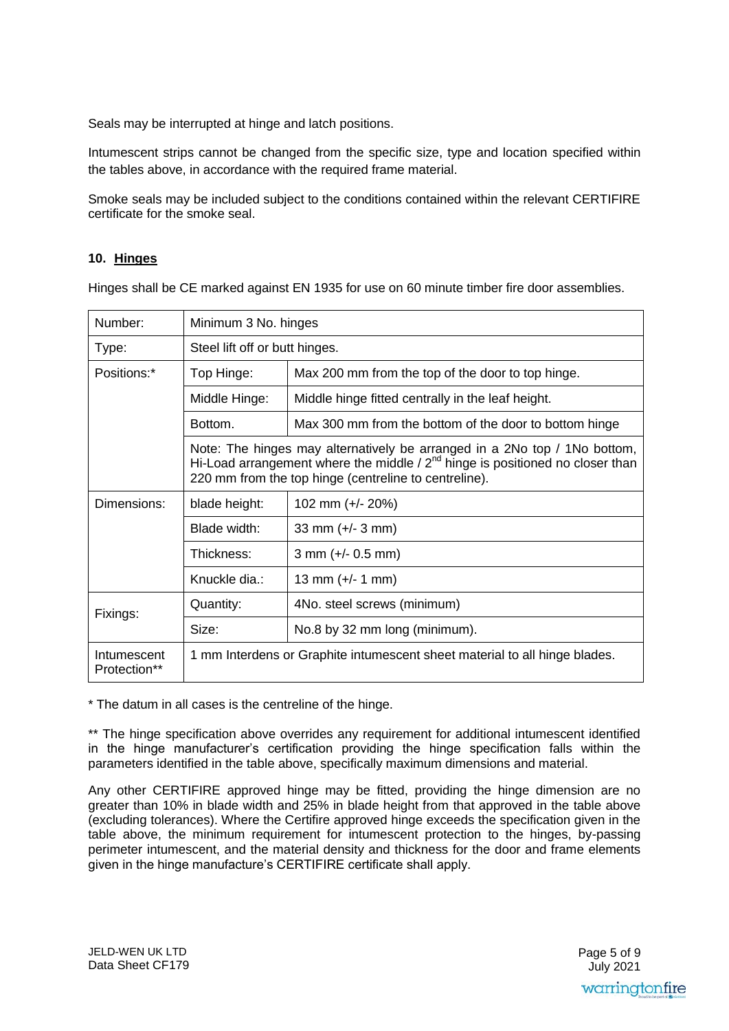Seals may be interrupted at hinge and latch positions.

Intumescent strips cannot be changed from the specific size, type and location specified within the tables above, in accordance with the required frame material.

Smoke seals may be included subject to the conditions contained within the relevant CERTIFIRE certificate for the smoke seal.

#### **10. Hinges**

Hinges shall be CE marked against EN 1935 for use on 60 minute timber fire door assemblies.

| Number:                     | Minimum 3 No. hinges                                                                                                                                                                                                  |                                                        |  |
|-----------------------------|-----------------------------------------------------------------------------------------------------------------------------------------------------------------------------------------------------------------------|--------------------------------------------------------|--|
| Type:                       | Steel lift off or butt hinges.                                                                                                                                                                                        |                                                        |  |
| Positions:*                 | Top Hinge:                                                                                                                                                                                                            | Max 200 mm from the top of the door to top hinge.      |  |
|                             | Middle Hinge:                                                                                                                                                                                                         | Middle hinge fitted centrally in the leaf height.      |  |
|                             | Bottom.                                                                                                                                                                                                               | Max 300 mm from the bottom of the door to bottom hinge |  |
|                             | Note: The hinges may alternatively be arranged in a 2No top / 1No bottom,<br>Hi-Load arrangement where the middle / $2nd$ hinge is positioned no closer than<br>220 mm from the top hinge (centreline to centreline). |                                                        |  |
| Dimensions:                 | blade height:                                                                                                                                                                                                         | 102 mm $(+/- 20%)$                                     |  |
|                             | Blade width:                                                                                                                                                                                                          | 33 mm $(+/- 3$ mm)                                     |  |
|                             | Thickness:                                                                                                                                                                                                            | $3$ mm (+/- 0.5 mm)                                    |  |
|                             | Knuckle dia.:                                                                                                                                                                                                         | 13 mm $(+/- 1$ mm)                                     |  |
| Fixings:                    | Quantity:                                                                                                                                                                                                             | 4No. steel screws (minimum)                            |  |
|                             | Size:                                                                                                                                                                                                                 | No.8 by 32 mm long (minimum).                          |  |
| Intumescent<br>Protection** | 1 mm Interdens or Graphite intumescent sheet material to all hinge blades.                                                                                                                                            |                                                        |  |

\* The datum in all cases is the centreline of the hinge.

\*\* The hinge specification above overrides any requirement for additional intumescent identified in the hinge manufacturer's certification providing the hinge specification falls within the parameters identified in the table above, specifically maximum dimensions and material.

Any other CERTIFIRE approved hinge may be fitted, providing the hinge dimension are no greater than 10% in blade width and 25% in blade height from that approved in the table above (excluding tolerances). Where the Certifire approved hinge exceeds the specification given in the table above, the minimum requirement for intumescent protection to the hinges, by-passing perimeter intumescent, and the material density and thickness for the door and frame elements given in the hinge manufacture's CERTIFIRE certificate shall apply.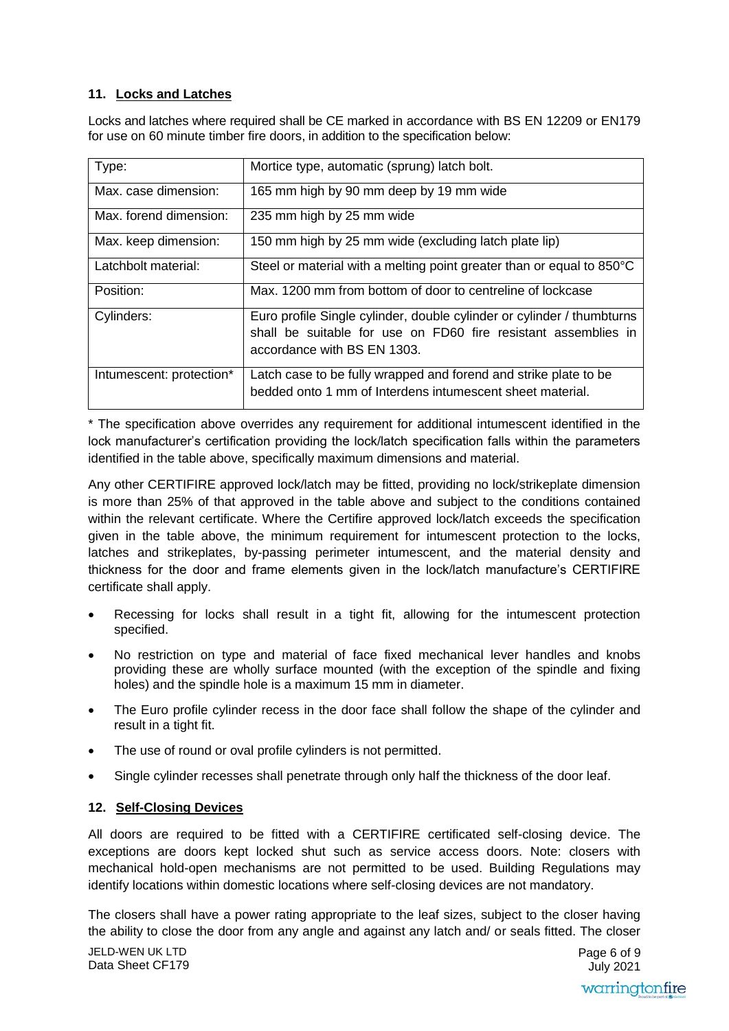#### **11. Locks and Latches**

Locks and latches where required shall be CE marked in accordance with BS EN 12209 or EN179 for use on 60 minute timber fire doors, in addition to the specification below:

| Type:                    | Mortice type, automatic (sprung) latch bolt.                                                                                                                            |
|--------------------------|-------------------------------------------------------------------------------------------------------------------------------------------------------------------------|
| Max. case dimension:     | 165 mm high by 90 mm deep by 19 mm wide                                                                                                                                 |
| Max, forend dimension:   | 235 mm high by 25 mm wide                                                                                                                                               |
| Max. keep dimension:     | 150 mm high by 25 mm wide (excluding latch plate lip)                                                                                                                   |
| Latchbolt material:      | Steel or material with a melting point greater than or equal to 850°C                                                                                                   |
| Position:                | Max. 1200 mm from bottom of door to centreline of lockcase                                                                                                              |
| Cylinders:               | Euro profile Single cylinder, double cylinder or cylinder / thumbturns<br>shall be suitable for use on FD60 fire resistant assemblies in<br>accordance with BS EN 1303. |
| Intumescent: protection* | Latch case to be fully wrapped and forend and strike plate to be<br>bedded onto 1 mm of Interdens intumescent sheet material.                                           |

\* The specification above overrides any requirement for additional intumescent identified in the lock manufacturer's certification providing the lock/latch specification falls within the parameters identified in the table above, specifically maximum dimensions and material.

Any other CERTIFIRE approved lock/latch may be fitted, providing no lock/strikeplate dimension is more than 25% of that approved in the table above and subject to the conditions contained within the relevant certificate. Where the Certifire approved lock/latch exceeds the specification given in the table above, the minimum requirement for intumescent protection to the locks, latches and strikeplates, by-passing perimeter intumescent, and the material density and thickness for the door and frame elements given in the lock/latch manufacture's CERTIFIRE certificate shall apply.

- Recessing for locks shall result in a tight fit, allowing for the intumescent protection specified.
- No restriction on type and material of face fixed mechanical lever handles and knobs providing these are wholly surface mounted (with the exception of the spindle and fixing holes) and the spindle hole is a maximum 15 mm in diameter.
- The Euro profile cylinder recess in the door face shall follow the shape of the cylinder and result in a tight fit.
- The use of round or oval profile cylinders is not permitted.
- Single cylinder recesses shall penetrate through only half the thickness of the door leaf.

#### **12. Self-Closing Devices**

All doors are required to be fitted with a CERTIFIRE certificated self-closing device. The exceptions are doors kept locked shut such as service access doors. Note: closers with mechanical hold-open mechanisms are not permitted to be used. Building Regulations may identify locations within domestic locations where self-closing devices are not mandatory.

JELD-WEN UK LTD Page 6 of 9 The closers shall have a power rating appropriate to the leaf sizes, subject to the closer having the ability to close the door from any angle and against any latch and/ or seals fitted. The closer

Data Sheet CF179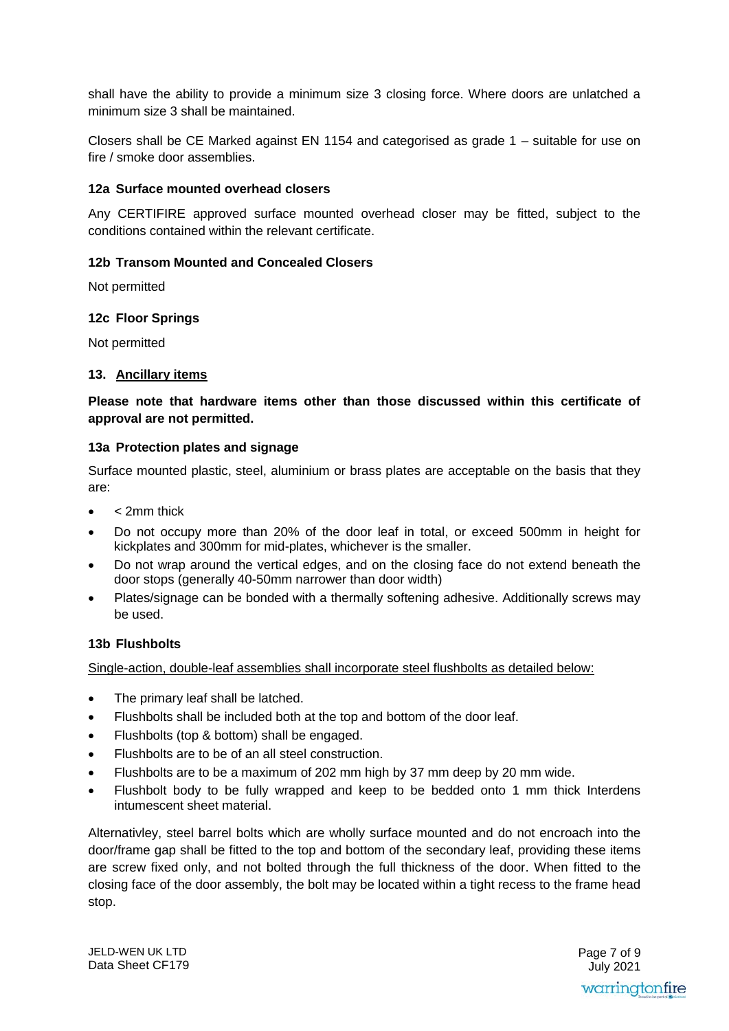shall have the ability to provide a minimum size 3 closing force. Where doors are unlatched a minimum size 3 shall be maintained.

Closers shall be CE Marked against EN 1154 and categorised as grade 1 – suitable for use on fire / smoke door assemblies.

#### **12a Surface mounted overhead closers**

Any CERTIFIRE approved surface mounted overhead closer may be fitted, subject to the conditions contained within the relevant certificate.

#### **12b Transom Mounted and Concealed Closers**

Not permitted

#### **12c Floor Springs**

Not permitted

#### **13. Ancillary items**

**Please note that hardware items other than those discussed within this certificate of approval are not permitted.** 

#### **13a Protection plates and signage**

Surface mounted plastic, steel, aluminium or brass plates are acceptable on the basis that they are:

- < 2mm thick
- Do not occupy more than 20% of the door leaf in total, or exceed 500mm in height for kickplates and 300mm for mid-plates, whichever is the smaller.
- Do not wrap around the vertical edges, and on the closing face do not extend beneath the door stops (generally 40-50mm narrower than door width)
- Plates/signage can be bonded with a thermally softening adhesive. Additionally screws may be used.

#### **13b Flushbolts**

Single-action, double-leaf assemblies shall incorporate steel flushbolts as detailed below:

- The primary leaf shall be latched.
- Flushbolts shall be included both at the top and bottom of the door leaf.
- Flushbolts (top & bottom) shall be engaged.
- Flushbolts are to be of an all steel construction.
- Flushbolts are to be a maximum of 202 mm high by 37 mm deep by 20 mm wide.
- Flushbolt body to be fully wrapped and keep to be bedded onto 1 mm thick Interdens intumescent sheet material.

Alternativley, steel barrel bolts which are wholly surface mounted and do not encroach into the door/frame gap shall be fitted to the top and bottom of the secondary leaf, providing these items are screw fixed only, and not bolted through the full thickness of the door. When fitted to the closing face of the door assembly, the bolt may be located within a tight recess to the frame head stop.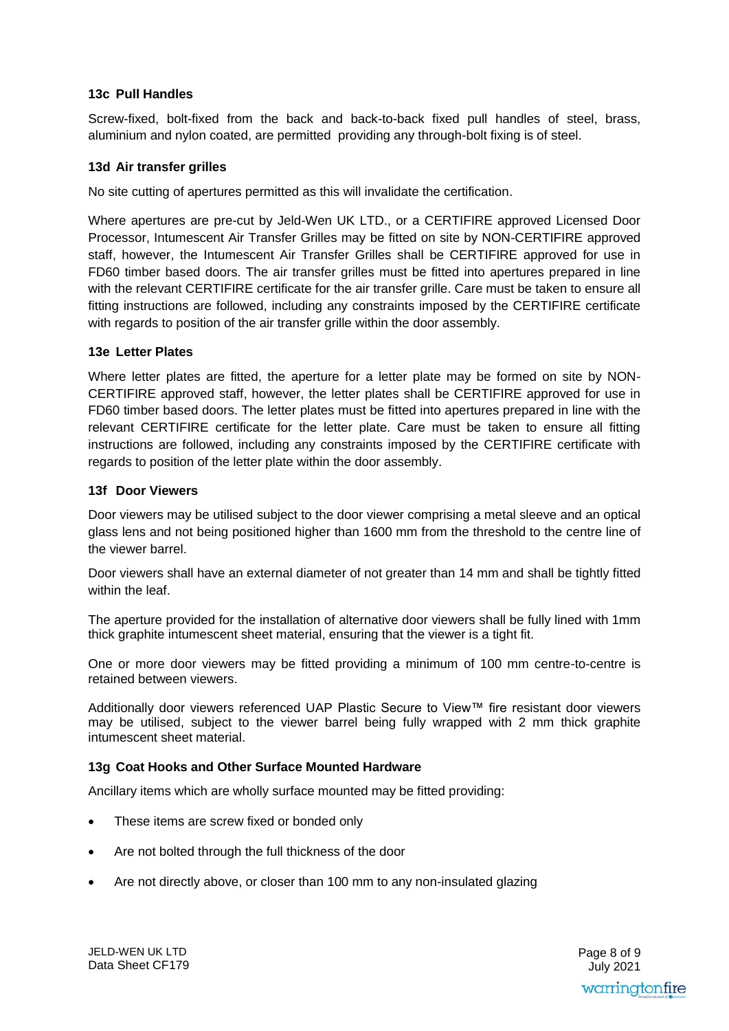#### **13c Pull Handles**

Screw-fixed, bolt-fixed from the back and back-to-back fixed pull handles of steel, brass, aluminium and nylon coated, are permitted providing any through-bolt fixing is of steel.

#### **13d Air transfer grilles**

No site cutting of apertures permitted as this will invalidate the certification.

Where apertures are pre-cut by Jeld-Wen UK LTD., or a CERTIFIRE approved Licensed Door Processor, Intumescent Air Transfer Grilles may be fitted on site by NON-CERTIFIRE approved staff, however, the Intumescent Air Transfer Grilles shall be CERTIFIRE approved for use in FD60 timber based doors. The air transfer grilles must be fitted into apertures prepared in line with the relevant CERTIFIRE certificate for the air transfer grille. Care must be taken to ensure all fitting instructions are followed, including any constraints imposed by the CERTIFIRE certificate with regards to position of the air transfer grille within the door assembly.

#### **13e Letter Plates**

Where letter plates are fitted, the aperture for a letter plate may be formed on site by NON-CERTIFIRE approved staff, however, the letter plates shall be CERTIFIRE approved for use in FD60 timber based doors. The letter plates must be fitted into apertures prepared in line with the relevant CERTIFIRE certificate for the letter plate. Care must be taken to ensure all fitting instructions are followed, including any constraints imposed by the CERTIFIRE certificate with regards to position of the letter plate within the door assembly.

#### **13f Door Viewers**

Door viewers may be utilised subject to the door viewer comprising a metal sleeve and an optical glass lens and not being positioned higher than 1600 mm from the threshold to the centre line of the viewer barrel.

Door viewers shall have an external diameter of not greater than 14 mm and shall be tightly fitted within the leaf.

The aperture provided for the installation of alternative door viewers shall be fully lined with 1mm thick graphite intumescent sheet material, ensuring that the viewer is a tight fit.

One or more door viewers may be fitted providing a minimum of 100 mm centre-to-centre is retained between viewers.

Additionally door viewers referenced UAP Plastic Secure to View™ fire resistant door viewers may be utilised, subject to the viewer barrel being fully wrapped with 2 mm thick graphite intumescent sheet material.

#### **13g Coat Hooks and Other Surface Mounted Hardware**

Ancillary items which are wholly surface mounted may be fitted providing:

- These items are screw fixed or bonded only
- Are not bolted through the full thickness of the door
- Are not directly above, or closer than 100 mm to any non-insulated glazing